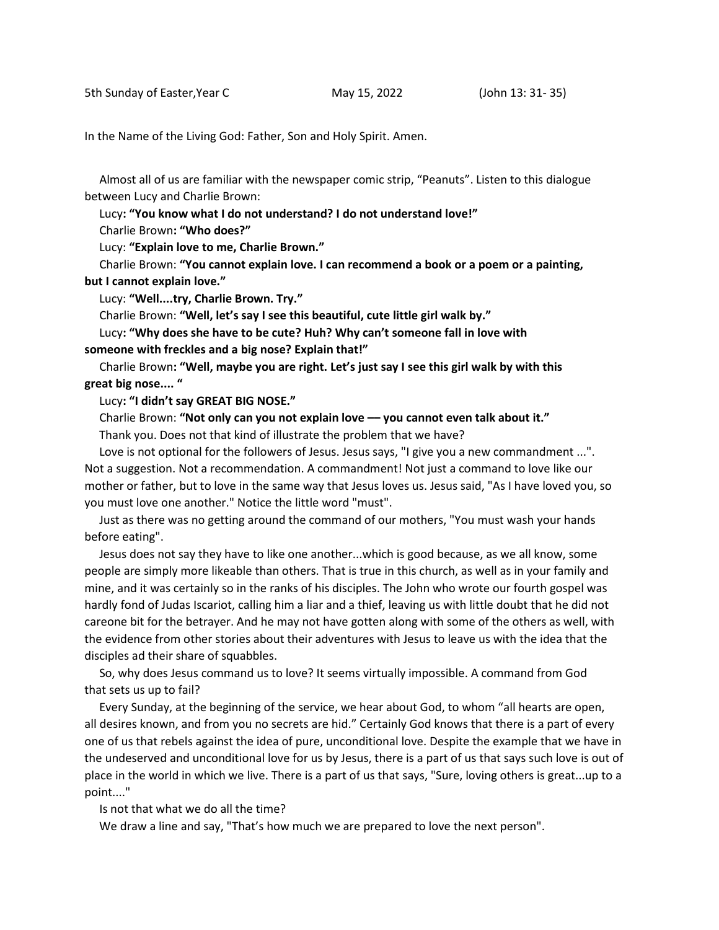In the Name of the Living God: Father, Son and Holy Spirit. Amen.

 Almost all of us are familiar with the newspaper comic strip, "Peanuts". Listen to this dialogue between Lucy and Charlie Brown:

Lucy**: "You know what I do not understand? I do not understand love!"**

Charlie Brown**: "Who does?"**

Lucy: **"Explain love to me, Charlie Brown."**

 Charlie Brown: **"You cannot explain love. I can recommend a book or a poem or a painting, but I cannot explain love."**

Lucy: **"Well....try, Charlie Brown. Try."**

Charlie Brown: **"Well, let's say I see this beautiful, cute little girl walk by."**

Lucy**: "Why does she have to be cute? Huh? Why can't someone fall in love with**

**someone with freckles and a big nose? Explain that!"**

 Charlie Brown**: "Well, maybe you are right. Let's just say I see this girl walk by with this great big nose.... "**

Lucy**: "I didn't say GREAT BIG NOSE."**

Charlie Brown: **"Not only can you not explain love –– you cannot even talk about it."**

Thank you. Does not that kind of illustrate the problem that we have?

Love is not optional for the followers of Jesus. Jesus says, "I give you a new commandment ...". Not a suggestion. Not a recommendation. A commandment! Not just a command to love like our mother or father, but to love in the same way that Jesus loves us. Jesus said, "As I have loved you, so you must love one another." Notice the little word "must".

 Just as there was no getting around the command of our mothers, "You must wash your hands before eating".

 Jesus does not say they have to like one another...which is good because, as we all know, some people are simply more likeable than others. That is true in this church, as well as in your family and mine, and it was certainly so in the ranks of his disciples. The John who wrote our fourth gospel was hardly fond of Judas Iscariot, calling him a liar and a thief, leaving us with little doubt that he did not careone bit for the betrayer. And he may not have gotten along with some of the others as well, with the evidence from other stories about their adventures with Jesus to leave us with the idea that the disciples ad their share of squabbles.

 So, why does Jesus command us to love? It seems virtually impossible. A command from God that sets us up to fail?

 Every Sunday, at the beginning of the service, we hear about God, to whom "all hearts are open, all desires known, and from you no secrets are hid." Certainly God knows that there is a part of every one of us that rebels against the idea of pure, unconditional love. Despite the example that we have in the undeserved and unconditional love for us by Jesus, there is a part of us that says such love is out of place in the world in which we live. There is a part of us that says, "Sure, loving others is great...up to a point...."

Is not that what we do all the time?

We draw a line and say, "That's how much we are prepared to love the next person".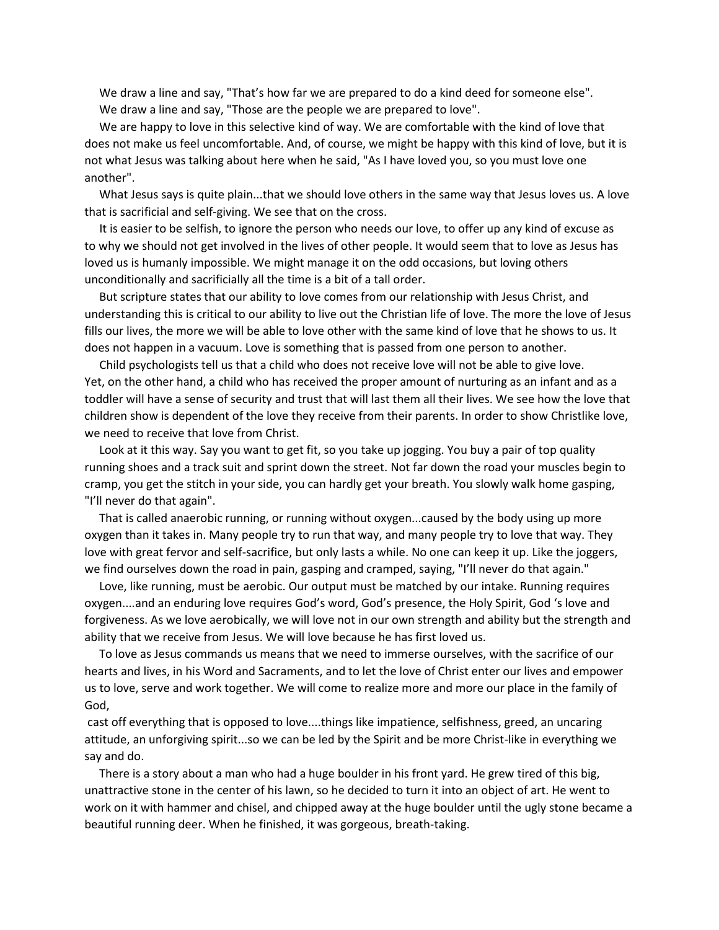We draw a line and say, "That's how far we are prepared to do a kind deed for someone else". We draw a line and say, "Those are the people we are prepared to love".

 We are happy to love in this selective kind of way. We are comfortable with the kind of love that does not make us feel uncomfortable. And, of course, we might be happy with this kind of love, but it is not what Jesus was talking about here when he said, "As I have loved you, so you must love one another".

What Jesus says is quite plain...that we should love others in the same way that Jesus loves us. A love that is sacrificial and self-giving. We see that on the cross.

 It is easier to be selfish, to ignore the person who needs our love, to offer up any kind of excuse as to why we should not get involved in the lives of other people. It would seem that to love as Jesus has loved us is humanly impossible. We might manage it on the odd occasions, but loving others unconditionally and sacrificially all the time is a bit of a tall order.

 But scripture states that our ability to love comes from our relationship with Jesus Christ, and understanding this is critical to our ability to live out the Christian life of love. The more the love of Jesus fills our lives, the more we will be able to love other with the same kind of love that he shows to us. It does not happen in a vacuum. Love is something that is passed from one person to another.

 Child psychologists tell us that a child who does not receive love will not be able to give love. Yet, on the other hand, a child who has received the proper amount of nurturing as an infant and as a toddler will have a sense of security and trust that will last them all their lives. We see how the love that children show is dependent of the love they receive from their parents. In order to show Christlike love, we need to receive that love from Christ.

 Look at it this way. Say you want to get fit, so you take up jogging. You buy a pair of top quality running shoes and a track suit and sprint down the street. Not far down the road your muscles begin to cramp, you get the stitch in your side, you can hardly get your breath. You slowly walk home gasping, "I'll never do that again".

 That is called anaerobic running, or running without oxygen...caused by the body using up more oxygen than it takes in. Many people try to run that way, and many people try to love that way. They love with great fervor and self-sacrifice, but only lasts a while. No one can keep it up. Like the joggers, we find ourselves down the road in pain, gasping and cramped, saying, "I'll never do that again."

 Love, like running, must be aerobic. Our output must be matched by our intake. Running requires oxygen....and an enduring love requires God's word, God's presence, the Holy Spirit, God 's love and forgiveness. As we love aerobically, we will love not in our own strength and ability but the strength and ability that we receive from Jesus. We will love because he has first loved us.

 To love as Jesus commands us means that we need to immerse ourselves, with the sacrifice of our hearts and lives, in his Word and Sacraments, and to let the love of Christ enter our lives and empower us to love, serve and work together. We will come to realize more and more our place in the family of God,

cast off everything that is opposed to love....things like impatience, selfishness, greed, an uncaring attitude, an unforgiving spirit...so we can be led by the Spirit and be more Christ-like in everything we say and do.

 There is a story about a man who had a huge boulder in his front yard. He grew tired of this big, unattractive stone in the center of his lawn, so he decided to turn it into an object of art. He went to work on it with hammer and chisel, and chipped away at the huge boulder until the ugly stone became a beautiful running deer. When he finished, it was gorgeous, breath-taking.